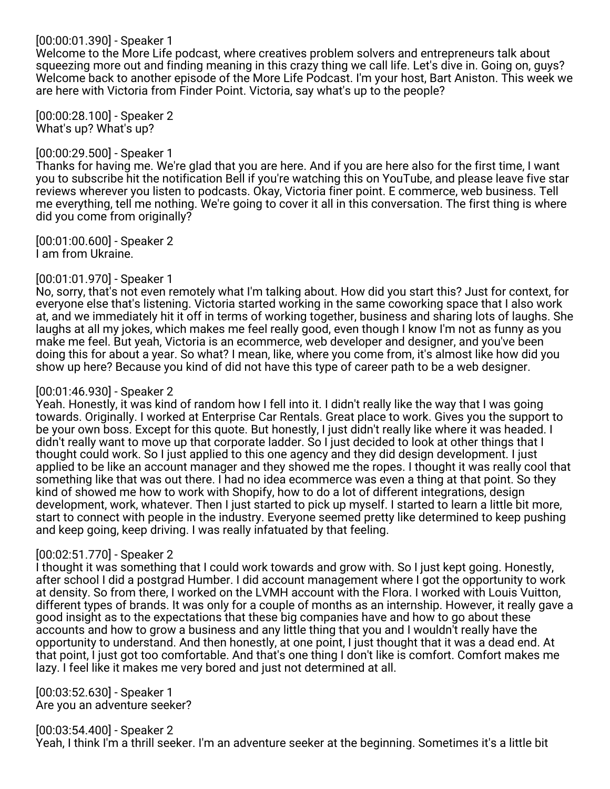# [00:00:01.390] - Speaker 1

Welcome to the More Life podcast, where creatives problem solvers and entrepreneurs talk about squeezing more out and finding meaning in this crazy thing we call life. Let's dive in. Going on, guys? Welcome back to another episode of the More Life Podcast. I'm your host, Bart Aniston. This week we are here with Victoria from Finder Point. Victoria, say what's up to the people?

[00:00:28.100] - Speaker 2 What's up? What's up?

# [00:00:29.500] - Speaker 1

Thanks for having me. We're glad that you are here. And if you are here also for the first time, I want you to subscribe hit the notification Bell if you're watching this on YouTube, and please leave five star reviews wherever you listen to podcasts. Okay, Victoria finer point. E commerce, web business. Tell me everything, tell me nothing. We're going to cover it all in this conversation. The first thing is where did you come from originally?

[00:01:00.600] - Speaker 2 I am from Ukraine.

# [00:01:01.970] - Speaker 1

No, sorry, that's not even remotely what I'm talking about. How did you start this? Just for context, for everyone else that's listening. Victoria started working in the same coworking space that I also work at, and we immediately hit it off in terms of working together, business and sharing lots of laughs. She laughs at all my jokes, which makes me feel really good, even though I know I'm not as funny as you make me feel. But yeah, Victoria is an ecommerce, web developer and designer, and you've been doing this for about a year. So what? I mean, like, where you come from, it's almost like how did you show up here? Because you kind of did not have this type of career path to be a web designer.

# [00:01:46.930] - Speaker 2

Yeah. Honestly, it was kind of random how I fell into it. I didn't really like the way that I was going towards. Originally. I worked at Enterprise Car Rentals. Great place to work. Gives you the support to be your own boss. Except for this quote. But honestly, I just didn't really like where it was headed. I didn't really want to move up that corporate ladder. So I just decided to look at other things that I thought could work. So I just applied to this one agency and they did design development. I just applied to be like an account manager and they showed me the ropes. I thought it was really cool that something like that was out there. I had no idea ecommerce was even a thing at that point. So they kind of showed me how to work with Shopify, how to do a lot of different integrations, design development, work, whatever. Then I just started to pick up myself. I started to learn a little bit more, start to connect with people in the industry. Everyone seemed pretty like determined to keep pushing and keep going, keep driving. I was really infatuated by that feeling.

# [00:02:51.770] - Speaker 2

I thought it was something that I could work towards and grow with. So I just kept going. Honestly, after school I did a postgrad Humber. I did account management where I got the opportunity to work at density. So from there, I worked on the LVMH account with the Flora. I worked with Louis Vuitton, different types of brands. It was only for a couple of months as an internship. However, it really gave a good insight as to the expectations that these big companies have and how to go about these accounts and how to grow a business and any little thing that you and I wouldn't really have the opportunity to understand. And then honestly, at one point, I just thought that it was a dead end. At that point, I just got too comfortable. And that's one thing I don't like is comfort. Comfort makes me lazy. I feel like it makes me very bored and just not determined at all.

[00:03:52.630] - Speaker 1 Are you an adventure seeker?

[00:03:54.400] - Speaker 2

Yeah, I think I'm a thrill seeker. I'm an adventure seeker at the beginning. Sometimes it's a little bit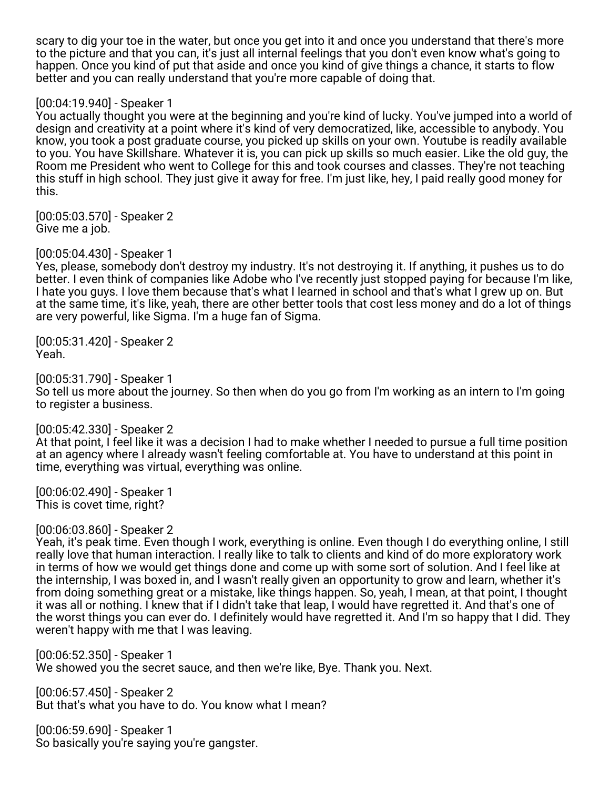scary to dig your toe in the water, but once you get into it and once you understand that there's more to the picture and that you can, it's just all internal feelings that you don't even know what's going to happen. Once you kind of put that aside and once you kind of give things a chance, it starts to flow better and you can really understand that you're more capable of doing that.

## [00:04:19.940] - Speaker 1

You actually thought you were at the beginning and you're kind of lucky. You've jumped into a world of design and creativity at a point where it's kind of very democratized, like, accessible to anybody. You know, you took a post graduate course, you picked up skills on your own. Youtube is readily available to you. You have Skillshare. Whatever it is, you can pick up skills so much easier. Like the old guy, the Room me President who went to College for this and took courses and classes. They're not teaching this stuff in high school. They just give it away for free. I'm just like, hey, I paid really good money for this.

[00:05:03.570] - Speaker 2 Give me a job.

[00:05:04.430] - Speaker 1

Yes, please, somebody don't destroy my industry. It's not destroying it. If anything, it pushes us to do better. I even think of companies like Adobe who I've recently just stopped paying for because I'm like, I hate you guys. I love them because that's what I learned in school and that's what I grew up on. But at the same time, it's like, yeah, there are other better tools that cost less money and do a lot of things are very powerful, like Sigma. I'm a huge fan of Sigma.

[00:05:31.420] - Speaker 2 Yeah.

[00:05:31.790] - Speaker 1 So tell us more about the journey. So then when do you go from I'm working as an intern to I'm going to register a business.

### [00:05:42.330] - Speaker 2

At that point, I feel like it was a decision I had to make whether I needed to pursue a full time position at an agency where I already wasn't feeling comfortable at. You have to understand at this point in time, everything was virtual, everything was online.

[00:06:02.490] - Speaker 1 This is covet time, right?

[00:06:03.860] - Speaker 2

Yeah, it's peak time. Even though I work, everything is online. Even though I do everything online, I still really love that human interaction. I really like to talk to clients and kind of do more exploratory work in terms of how we would get things done and come up with some sort of solution. And I feel like at the internship, I was boxed in, and I wasn't really given an opportunity to grow and learn, whether it's from doing something great or a mistake, like things happen. So, yeah, I mean, at that point, I thought it was all or nothing. I knew that if I didn't take that leap, I would have regretted it. And that's one of the worst things you can ever do. I definitely would have regretted it. And I'm so happy that I did. They weren't happy with me that I was leaving.

[00:06:52.350] - Speaker 1 We showed you the secret sauce, and then we're like, Bye. Thank you. Next.

[00:06:57.450] - Speaker 2 But that's what you have to do. You know what I mean?

[00:06:59.690] - Speaker 1 So basically you're saying you're gangster.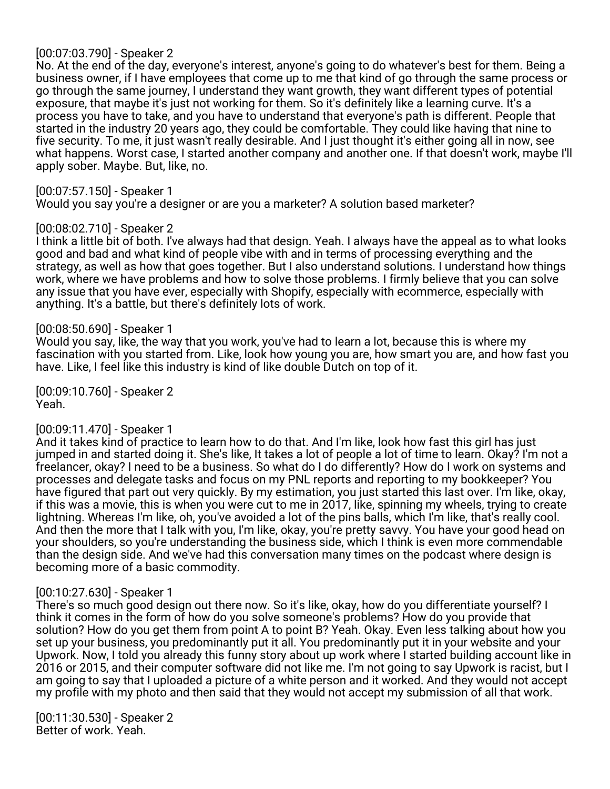# [00:07:03.790] - Speaker 2

No. At the end of the day, everyone's interest, anyone's going to do whatever's best for them. Being a business owner, if I have employees that come up to me that kind of go through the same process or go through the same journey, I understand they want growth, they want different types of potential exposure, that maybe it's just not working for them. So it's definitely like a learning curve. It's a process you have to take, and you have to understand that everyone's path is different. People that started in the industry 20 years ago, they could be comfortable. They could like having that nine to five security. To me, it just wasn't really desirable. And I just thought it's either going all in now, see what happens. Worst case, I started another company and another one. If that doesn't work, maybe I'll apply sober. Maybe. But, like, no.

[00:07:57.150] - Speaker 1

Would you say you're a designer or are you a marketer? A solution based marketer?

### [00:08:02.710] - Speaker 2

I think a little bit of both. I've always had that design. Yeah. I always have the appeal as to what looks good and bad and what kind of people vibe with and in terms of processing everything and the strategy, as well as how that goes together. But I also understand solutions. I understand how things work, where we have problems and how to solve those problems. I firmly believe that you can solve any issue that you have ever, especially with Shopify, especially with ecommerce, especially with anything. It's a battle, but there's definitely lots of work.

### [00:08:50.690] - Speaker 1

Would you say, like, the way that you work, you've had to learn a lot, because this is where my fascination with you started from. Like, look how young you are, how smart you are, and how fast you have. Like, I feel like this industry is kind of like double Dutch on top of it.

[00:09:10.760] - Speaker 2 Yeah.

### [00:09:11.470] - Speaker 1

And it takes kind of practice to learn how to do that. And I'm like, look how fast this girl has just jumped in and started doing it. She's like, It takes a lot of people a lot of time to learn. Okay? I'm not a freelancer, okay? I need to be a business. So what do I do differently? How do I work on systems and processes and delegate tasks and focus on my PNL reports and reporting to my bookkeeper? You have figured that part out very quickly. By my estimation, you just started this last over. I'm like, okay, if this was a movie, this is when you were cut to me in 2017, like, spinning my wheels, trying to create lightning. Whereas I'm like, oh, you've avoided a lot of the pins balls, which I'm like, that's really cool. And then the more that I talk with you, I'm like, okay, you're pretty savvy. You have your good head on your shoulders, so you're understanding the business side, which I think is even more commendable than the design side. And we've had this conversation many times on the podcast where design is becoming more of a basic commodity.

### [00:10:27.630] - Speaker 1

There's so much good design out there now. So it's like, okay, how do you differentiate yourself? I think it comes in the form of how do you solve someone's problems? How do you provide that solution? How do you get them from point A to point B? Yeah. Okay. Even less talking about how you set up your business, you predominantly put it all. You predominantly put it in your website and your Upwork. Now, I told you already this funny story about up work where I started building account like in 2016 or 2015, and their computer software did not like me. I'm not going to say Upwork is racist, but I am going to say that I uploaded a picture of a white person and it worked. And they would not accept my profile with my photo and then said that they would not accept my submission of all that work.

[00:11:30.530] - Speaker 2 Better of work. Yeah.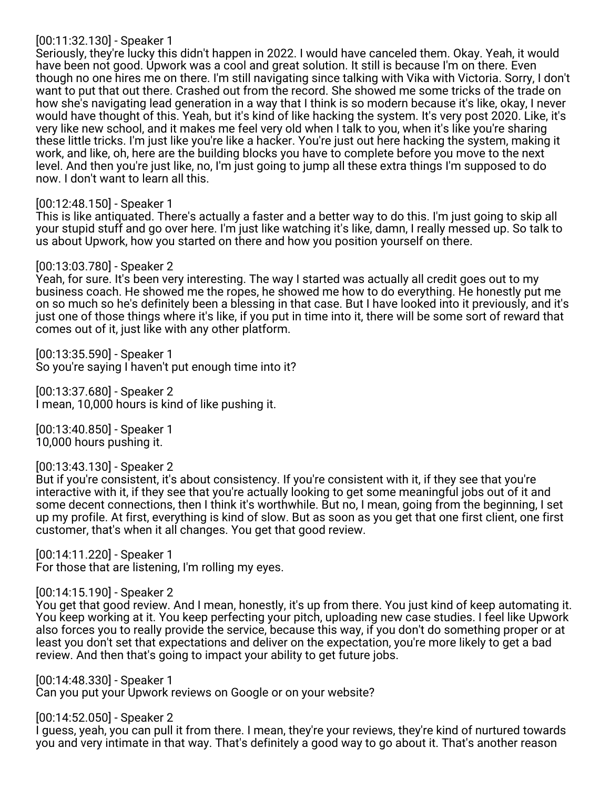## [00:11:32.130] - Speaker 1

Seriously, they're lucky this didn't happen in 2022. I would have canceled them. Okay. Yeah, it would have been not good. Upwork was a cool and great solution. It still is because I'm on there. Even though no one hires me on there. I'm still navigating since talking with Vika with Victoria. Sorry, I don't want to put that out there. Crashed out from the record. She showed me some tricks of the trade on how she's navigating lead generation in a way that I think is so modern because it's like, okay, I never would have thought of this. Yeah, but it's kind of like hacking the system. It's very post 2020. Like, it's very like new school, and it makes me feel very old when I talk to you, when it's like you're sharing these little tricks. I'm just like you're like a hacker. You're just out here hacking the system, making it work, and like, oh, here are the building blocks you have to complete before you move to the next level. And then you're just like, no, I'm just going to jump all these extra things I'm supposed to do now. I don't want to learn all this.

# [00:12:48.150] - Speaker 1

This is like antiquated. There's actually a faster and a better way to do this. I'm just going to skip all your stupid stuff and go over here. I'm just like watching it's like, damn, I really messed up. So talk to us about Upwork, how you started on there and how you position yourself on there.

## [00:13:03.780] - Speaker 2

Yeah, for sure. It's been very interesting. The way I started was actually all credit goes out to my business coach. He showed me the ropes, he showed me how to do everything. He honestly put me on so much so he's definitely been a blessing in that case. But I have looked into it previously, and it's just one of those things where it's like, if you put in time into it, there will be some sort of reward that comes out of it, just like with any other platform.

[00:13:35.590] - Speaker 1 So you're saying I haven't put enough time into it?

[00:13:37.680] - Speaker 2 I mean, 10,000 hours is kind of like pushing it.

[00:13:40.850] - Speaker 1 10,000 hours pushing it.

[00:13:43.130] - Speaker 2

But if you're consistent, it's about consistency. If you're consistent with it, if they see that you're interactive with it, if they see that you're actually looking to get some meaningful jobs out of it and some decent connections, then I think it's worthwhile. But no, I mean, going from the beginning, I set up my profile. At first, everything is kind of slow. But as soon as you get that one first client, one first customer, that's when it all changes. You get that good review.

[00:14:11.220] - Speaker 1 For those that are listening, I'm rolling my eyes.

[00:14:15.190] - Speaker 2

You get that good review. And I mean, honestly, it's up from there. You just kind of keep automating it. You keep working at it. You keep perfecting your pitch, uploading new case studies. I feel like Upwork also forces you to really provide the service, because this way, if you don't do something proper or at least you don't set that expectations and deliver on the expectation, you're more likely to get a bad review. And then that's going to impact your ability to get future jobs.

[00:14:48.330] - Speaker 1 Can you put your Upwork reviews on Google or on your website?

[00:14:52.050] - Speaker 2

I guess, yeah, you can pull it from there. I mean, they're your reviews, they're kind of nurtured towards you and very intimate in that way. That's definitely a good way to go about it. That's another reason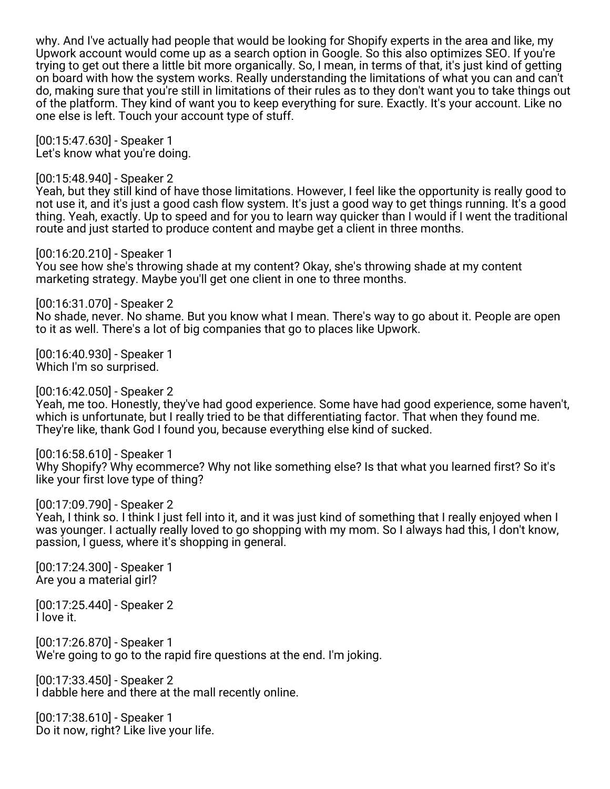why. And I've actually had people that would be looking for Shopify experts in the area and like, my Upwork account would come up as a search option in Google. So this also optimizes SEO. If you're trying to get out there a little bit more organically. So, I mean, in terms of that, it's just kind of getting on board with how the system works. Really understanding the limitations of what you can and can't do, making sure that you're still in limitations of their rules as to they don't want you to take things out of the platform. They kind of want you to keep everything for sure. Exactly. It's your account. Like no one else is left. Touch your account type of stuff.

[00:15:47.630] - Speaker 1 Let's know what you're doing.

[00:15:48.940] - Speaker 2 Yeah, but they still kind of have those limitations. However, I feel like the opportunity is really good to not use it, and it's just a good cash flow system. It's just a good way to get things running. It's a good thing. Yeah, exactly. Up to speed and for you to learn way quicker than I would if I went the traditional route and just started to produce content and maybe get a client in three months.

[00:16:20.210] - Speaker 1 You see how she's throwing shade at my content? Okay, she's throwing shade at my content marketing strategy. Maybe you'll get one client in one to three months.

[00:16:31.070] - Speaker 2 No shade, never. No shame. But you know what I mean. There's way to go about it. People are open to it as well. There's a lot of big companies that go to places like Upwork.

[00:16:40.930] - Speaker 1 Which I'm so surprised.

[00:16:42.050] - Speaker 2

Yeah, me too. Honestly, they've had good experience. Some have had good experience, some haven't, which is unfortunate, but I really tried to be that differentiating factor. That when they found me. They're like, thank God I found you, because everything else kind of sucked.

[00:16:58.610] - Speaker 1 Why Shopify? Why ecommerce? Why not like something else? Is that what you learned first? So it's like your first love type of thing?

[00:17:09.790] - Speaker 2

Yeah, I think so. I think I just fell into it, and it was just kind of something that I really enjoyed when I was younger. I actually really loved to go shopping with my mom. So I always had this, I don't know, passion, I guess, where it's shopping in general.

[00:17:24.300] - Speaker 1 Are you a material girl?

[00:17:25.440] - Speaker 2 I love it.

[00:17:26.870] - Speaker 1 We're going to go to the rapid fire questions at the end. I'm joking.

[00:17:33.450] - Speaker 2 I dabble here and there at the mall recently online.

[00:17:38.610] - Speaker 1 Do it now, right? Like live your life.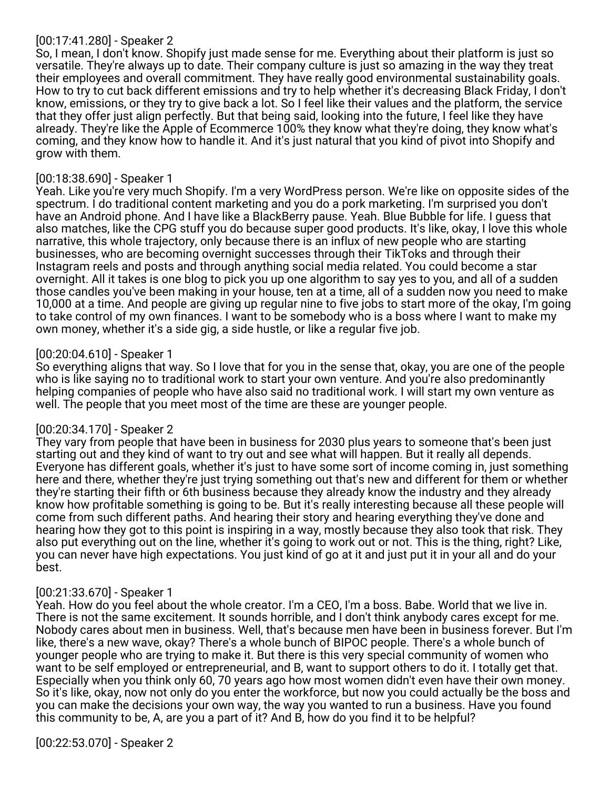# [00:17:41.280] - Speaker 2

So, I mean, I don't know. Shopify just made sense for me. Everything about their platform is just so versatile. They're always up to date. Their company culture is just so amazing in the way they treat their employees and overall commitment. They have really good environmental sustainability goals. How to try to cut back different emissions and try to help whether it's decreasing Black Friday, I don't know, emissions, or they try to give back a lot. So I feel like their values and the platform, the service that they offer just align perfectly. But that being said, looking into the future, I feel like they have already. They're like the Apple of Ecommerce 100% they know what they're doing, they know what's coming, and they know how to handle it. And it's just natural that you kind of pivot into Shopify and grow with them.

## [00:18:38.690] - Speaker 1

Yeah. Like you're very much Shopify. I'm a very WordPress person. We're like on opposite sides of the spectrum. I do traditional content marketing and you do a pork marketing. I'm surprised you don't have an Android phone. And I have like a BlackBerry pause. Yeah. Blue Bubble for life. I guess that also matches, like the CPG stuff you do because super good products. It's like, okay, I love this whole narrative, this whole trajectory, only because there is an influx of new people who are starting businesses, who are becoming overnight successes through their TikToks and through their Instagram reels and posts and through anything social media related. You could become a star overnight. All it takes is one blog to pick you up one algorithm to say yes to you, and all of a sudden those candles you've been making in your house, ten at a time, all of a sudden now you need to make 10,000 at a time. And people are giving up regular nine to five jobs to start more of the okay, I'm going to take control of my own finances. I want to be somebody who is a boss where I want to make my own money, whether it's a side gig, a side hustle, or like a regular five job.

## [00:20:04.610] - Speaker 1

So everything aligns that way. So I love that for you in the sense that, okay, you are one of the people who is like saying no to traditional work to start your own venture. And you're also predominantly helping companies of people who have also said no traditional work. I will start my own venture as well. The people that you meet most of the time are these are younger people.

# [00:20:34.170] - Speaker 2

They vary from people that have been in business for 2030 plus years to someone that's been just starting out and they kind of want to try out and see what will happen. But it really all depends. Everyone has different goals, whether it's just to have some sort of income coming in, just something here and there, whether they're just trying something out that's new and different for them or whether they're starting their fifth or 6th business because they already know the industry and they already know how profitable something is going to be. But it's really interesting because all these people will come from such different paths. And hearing their story and hearing everything they've done and hearing how they got to this point is inspiring in a way, mostly because they also took that risk. They also put everything out on the line, whether it's going to work out or not. This is the thing, right? Like, you can never have high expectations. You just kind of go at it and just put it in your all and do your best.

# [00:21:33.670] - Speaker 1

Yeah. How do you feel about the whole creator. I'm a CEO, I'm a boss. Babe. World that we live in. There is not the same excitement. It sounds horrible, and I don't think anybody cares except for me. Nobody cares about men in business. Well, that's because men have been in business forever. But I'm like, there's a new wave, okay? There's a whole bunch of BIPOC people. There's a whole bunch of younger people who are trying to make it. But there is this very special community of women who want to be self employed or entrepreneurial, and B, want to support others to do it. I totally get that. Especially when you think only 60, 70 years ago how most women didn't even have their own money. So it's like, okay, now not only do you enter the workforce, but now you could actually be the boss and you can make the decisions your own way, the way you wanted to run a business. Have you found this community to be, A, are you a part of it? And B, how do you find it to be helpful?

[00:22:53.070] - Speaker 2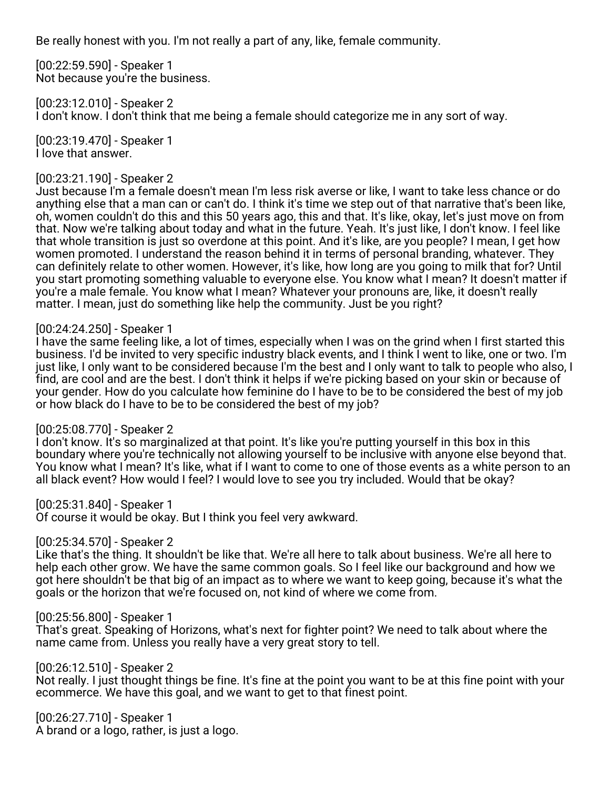Be really honest with you. I'm not really a part of any, like, female community.

[00:22:59.590] - Speaker 1 Not because you're the business.

[00:23:12.010] - Speaker 2 I don't know. I don't think that me being a female should categorize me in any sort of way.

[00:23:19.470] - Speaker 1 I love that answer.

# [00:23:21.190] - Speaker 2

Just because I'm a female doesn't mean I'm less risk averse or like, I want to take less chance or do anything else that a man can or can't do. I think it's time we step out of that narrative that's been like, oh, women couldn't do this and this 50 years ago, this and that. It's like, okay, let's just move on from that. Now we're talking about today and what in the future. Yeah. It's just like, I don't know. I feel like that whole transition is just so overdone at this point. And it's like, are you people? I mean, I get how women promoted. I understand the reason behind it in terms of personal branding, whatever. They can definitely relate to other women. However, it's like, how long are you going to milk that for? Until you start promoting something valuable to everyone else. You know what I mean? It doesn't matter if you're a male female. You know what I mean? Whatever your pronouns are, like, it doesn't really matter. I mean, just do something like help the community. Just be you right?

## [00:24:24.250] - Speaker 1

I have the same feeling like, a lot of times, especially when I was on the grind when I first started this business. I'd be invited to very specific industry black events, and I think I went to like, one or two. I'm just like, I only want to be considered because I'm the best and I only want to talk to people who also, I find, are cool and are the best. I don't think it helps if we're picking based on your skin or because of your gender. How do you calculate how feminine do I have to be to be considered the best of my job or how black do I have to be to be considered the best of my job?

### [00:25:08.770] - Speaker 2

I don't know. It's so marginalized at that point. It's like you're putting yourself in this box in this boundary where you're technically not allowing yourself to be inclusive with anyone else beyond that. You know what I mean? It's like, what if I want to come to one of those events as a white person to an all black event? How would I feel? I would love to see you try included. Would that be okay?

[00:25:31.840] - Speaker 1

Of course it would be okay. But I think you feel very awkward.

# [00:25:34.570] - Speaker 2

Like that's the thing. It shouldn't be like that. We're all here to talk about business. We're all here to help each other grow. We have the same common goals. So I feel like our background and how we got here shouldn't be that big of an impact as to where we want to keep going, because it's what the goals or the horizon that we're focused on, not kind of where we come from.

# [00:25:56.800] - Speaker 1

That's great. Speaking of Horizons, what's next for fighter point? We need to talk about where the name came from. Unless you really have a very great story to tell.

[00:26:12.510] - Speaker 2

Not really. I just thought things be fine. It's fine at the point you want to be at this fine point with your ecommerce. We have this goal, and we want to get to that finest point.

[00:26:27.710] - Speaker 1 A brand or a logo, rather, is just a logo.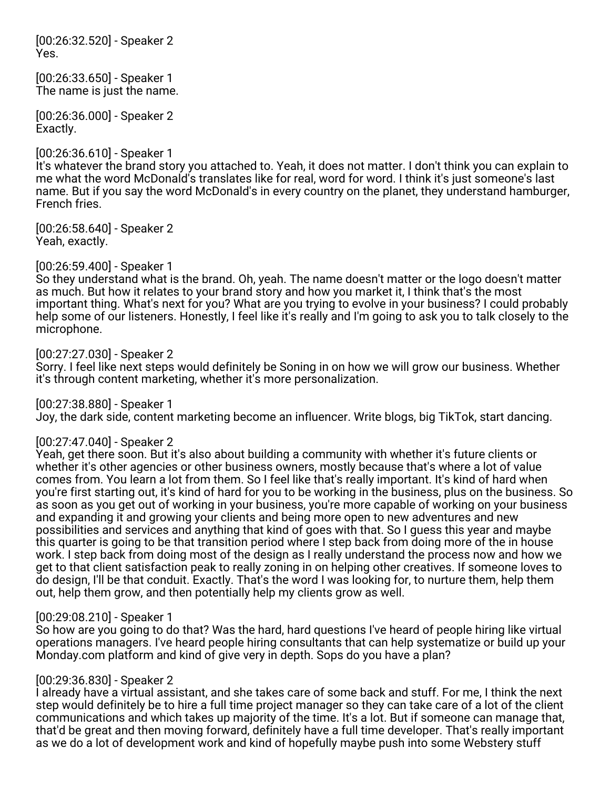[00:26:32.520] - Speaker 2 Yes.

[00:26:33.650] - Speaker 1 The name is just the name.

[00:26:36.000] - Speaker 2 Exactly.

## [00:26:36.610] - Speaker 1

It's whatever the brand story you attached to. Yeah, it does not matter. I don't think you can explain to me what the word McDonald's translates like for real, word for word. I think it's just someone's last name. But if you say the word McDonald's in every country on the planet, they understand hamburger, French fries.

[00:26:58.640] - Speaker 2 Yeah, exactly.

[00:26:59.400] - Speaker 1

So they understand what is the brand. Oh, yeah. The name doesn't matter or the logo doesn't matter as much. But how it relates to your brand story and how you market it, I think that's the most important thing. What's next for you? What are you trying to evolve in your business? I could probably help some of our listeners. Honestly, I feel like it's really and I'm going to ask you to talk closely to the microphone.

## [00:27:27.030] - Speaker 2

Sorry. I feel like next steps would definitely be Soning in on how we will grow our business. Whether it's through content marketing, whether it's more personalization.

[00:27:38.880] - Speaker 1

Joy, the dark side, content marketing become an influencer. Write blogs, big TikTok, start dancing.

### [00:27:47.040] - Speaker 2

Yeah, get there soon. But it's also about building a community with whether it's future clients or whether it's other agencies or other business owners, mostly because that's where a lot of value comes from. You learn a lot from them. So I feel like that's really important. It's kind of hard when you're first starting out, it's kind of hard for you to be working in the business, plus on the business. So as soon as you get out of working in your business, you're more capable of working on your business and expanding it and growing your clients and being more open to new adventures and new possibilities and services and anything that kind of goes with that. So I guess this year and maybe this quarter is going to be that transition period where I step back from doing more of the in house work. I step back from doing most of the design as I really understand the process now and how we get to that client satisfaction peak to really zoning in on helping other creatives. If someone loves to do design, I'll be that conduit. Exactly. That's the word I was looking for, to nurture them, help them out, help them grow, and then potentially help my clients grow as well.

### [00:29:08.210] - Speaker 1

So how are you going to do that? Was the hard, hard questions I've heard of people hiring like virtual operations managers. I've heard people hiring consultants that can help systematize or build up your Monday.com platform and kind of give very in depth. Sops do you have a plan?

### [00:29:36.830] - Speaker 2

I already have a virtual assistant, and she takes care of some back and stuff. For me, I think the next step would definitely be to hire a full time project manager so they can take care of a lot of the client communications and which takes up majority of the time. It's a lot. But if someone can manage that, that'd be great and then moving forward, definitely have a full time developer. That's really important as we do a lot of development work and kind of hopefully maybe push into some Webstery stuff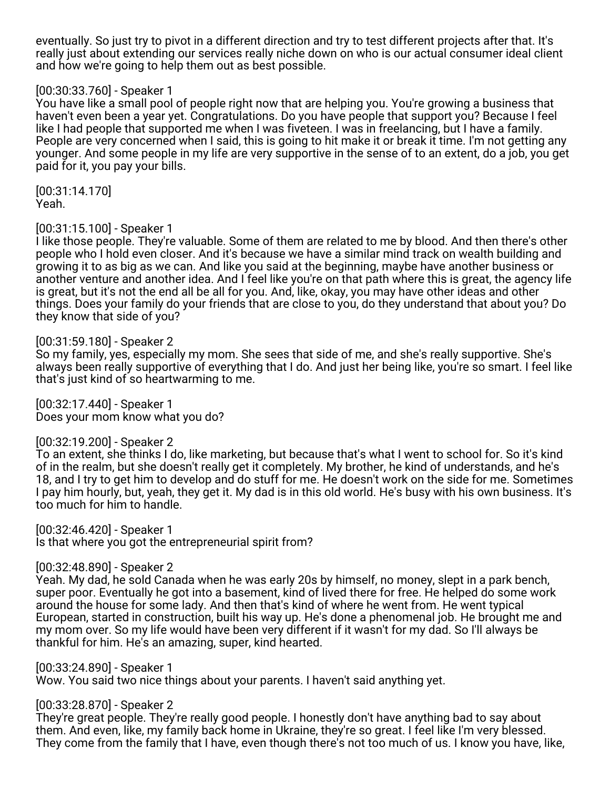eventually. So just try to pivot in a different direction and try to test different projects after that. It's really just about extending our services really niche down on who is our actual consumer ideal client and how we're going to help them out as best possible.

## [00:30:33.760] - Speaker 1

You have like a small pool of people right now that are helping you. You're growing a business that haven't even been a year yet. Congratulations. Do you have people that support you? Because I feel like I had people that supported me when I was fiveteen. I was in freelancing, but I have a family. People are very concerned when I said, this is going to hit make it or break it time. I'm not getting any younger. And some people in my life are very supportive in the sense of to an extent, do a job, you get paid for it, you pay your bills.

[00:31:14.170] Yeah.

### [00:31:15.100] - Speaker 1

I like those people. They're valuable. Some of them are related to me by blood. And then there's other people who I hold even closer. And it's because we have a similar mind track on wealth building and growing it to as big as we can. And like you said at the beginning, maybe have another business or another venture and another idea. And I feel like you're on that path where this is great, the agency life is great, but it's not the end all be all for you. And, like, okay, you may have other ideas and other things. Does your family do your friends that are close to you, do they understand that about you? Do they know that side of you?

[00:31:59.180] - Speaker 2

So my family, yes, especially my mom. She sees that side of me, and she's really supportive. She's always been really supportive of everything that I do. And just her being like, you're so smart. I feel like that's just kind of so heartwarming to me.

[00:32:17.440] - Speaker 1 Does your mom know what you do?

[00:32:19.200] - Speaker 2

To an extent, she thinks I do, like marketing, but because that's what I went to school for. So it's kind of in the realm, but she doesn't really get it completely. My brother, he kind of understands, and he's 18, and I try to get him to develop and do stuff for me. He doesn't work on the side for me. Sometimes I pay him hourly, but, yeah, they get it. My dad is in this old world. He's busy with his own business. It's too much for him to handle.

[00:32:46.420] - Speaker 1 Is that where you got the entrepreneurial spirit from?

[00:32:48.890] - Speaker 2

Yeah. My dad, he sold Canada when he was early 20s by himself, no money, slept in a park bench, super poor. Eventually he got into a basement, kind of lived there for free. He helped do some work around the house for some lady. And then that's kind of where he went from. He went typical European, started in construction, built his way up. He's done a phenomenal job. He brought me and my mom over. So my life would have been very different if it wasn't for my dad. So I'll always be thankful for him. He's an amazing, super, kind hearted.

[00:33:24.890] - Speaker 1

Wow. You said two nice things about your parents. I haven't said anything yet.

[00:33:28.870] - Speaker 2

They're great people. They're really good people. I honestly don't have anything bad to say about them. And even, like, my family back home in Ukraine, they're so great. I feel like I'm very blessed. They come from the family that I have, even though there's not too much of us. I know you have, like,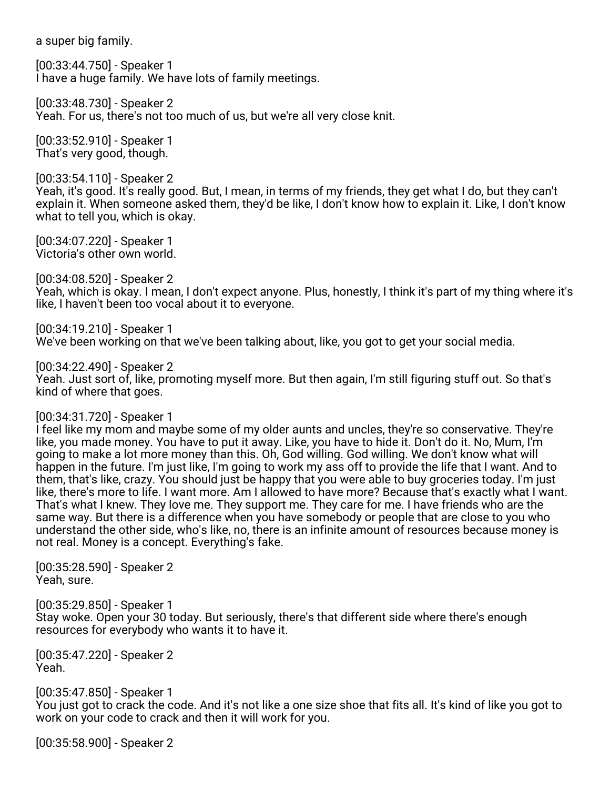a super big family.

[00:33:44.750] - Speaker 1 I have a huge family. We have lots of family meetings.

[00:33:48.730] - Speaker 2 Yeah. For us, there's not too much of us, but we're all very close knit.

[00:33:52.910] - Speaker 1 That's very good, though.

[00:33:54.110] - Speaker 2 Yeah, it's good. It's really good. But, I mean, in terms of my friends, they get what I do, but they can't explain it. When someone asked them, they'd be like, I don't know how to explain it. Like, I don't know what to tell you, which is okay.

[00:34:07.220] - Speaker 1 Victoria's other own world.

[00:34:08.520] - Speaker 2 Yeah, which is okay. I mean, I don't expect anyone. Plus, honestly, I think it's part of my thing where it's like, I haven't been too vocal about it to everyone.

[00:34:19.210] - Speaker 1 We've been working on that we've been talking about, like, you got to get your social media.

[00:34:22.490] - Speaker 2

Yeah. Just sort of, like, promoting myself more. But then again, I'm still figuring stuff out. So that's kind of where that goes.

### [00:34:31.720] - Speaker 1

I feel like my mom and maybe some of my older aunts and uncles, they're so conservative. They're like, you made money. You have to put it away. Like, you have to hide it. Don't do it. No, Mum, I'm going to make a lot more money than this. Oh, God willing. God willing. We don't know what will happen in the future. I'm just like, I'm going to work my ass off to provide the life that I want. And to them, that's like, crazy. You should just be happy that you were able to buy groceries today. I'm just like, there's more to life. I want more. Am I allowed to have more? Because that's exactly what I want. That's what I knew. They love me. They support me. They care for me. I have friends who are the same way. But there is a difference when you have somebody or people that are close to you who understand the other side, who's like, no, there is an infinite amount of resources because money is not real. Money is a concept. Everything's fake.

[00:35:28.590] - Speaker 2 Yeah, sure.

[00:35:29.850] - Speaker 1 Stay woke. Open your 30 today. But seriously, there's that different side where there's enough resources for everybody who wants it to have it.

[00:35:47.220] - Speaker 2 Yeah.

[00:35:47.850] - Speaker 1 You just got to crack the code. And it's not like a one size shoe that fits all. It's kind of like you got to work on your code to crack and then it will work for you.

[00:35:58.900] - Speaker 2